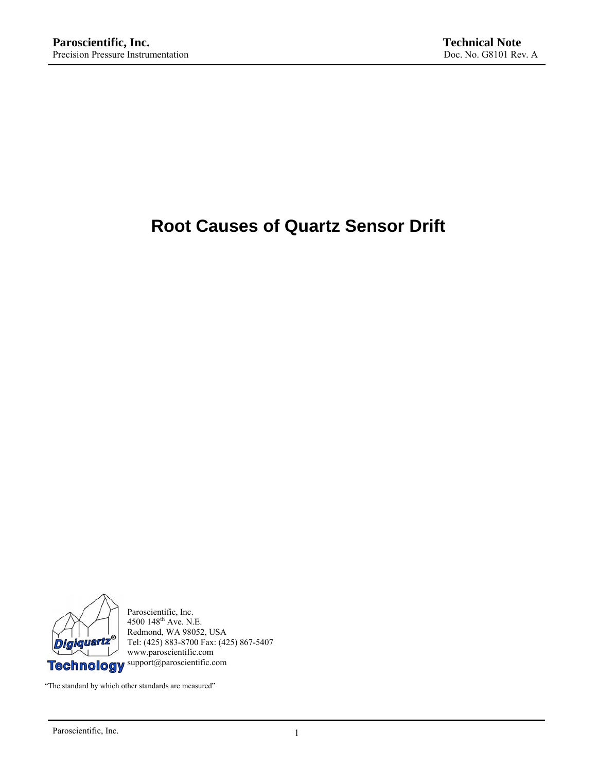# **Root Causes of Quartz Sensor Drift**



Paroscientific, Inc. 4500  $148^{\text{th}}$  Ave. N.E. Redmond, WA 98052, USA Tel: (425) 883-8700 Fax: (425) 867-5407 www.paroscientific.com

"The standard by which other standards are measured"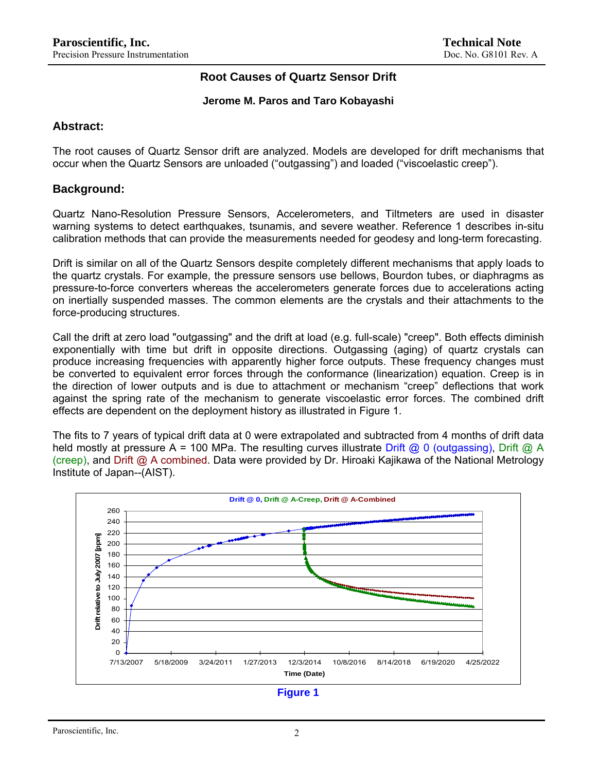## **Root Causes of Quartz Sensor Drift**

#### **Jerome M. Paros and Taro Kobayashi**

#### **Abstract:**

The root causes of Quartz Sensor drift are analyzed. Models are developed for drift mechanisms that occur when the Quartz Sensors are unloaded ("outgassing") and loaded ("viscoelastic creep").

## **Background:**

Quartz Nano-Resolution Pressure Sensors, Accelerometers, and Tiltmeters are used in disaster warning systems to detect earthquakes, tsunamis, and severe weather. Reference 1 describes in-situ calibration methods that can provide the measurements needed for geodesy and long-term forecasting.

Drift is similar on all of the Quartz Sensors despite completely different mechanisms that apply loads to the quartz crystals. For example, the pressure sensors use bellows, Bourdon tubes, or diaphragms as pressure-to-force converters whereas the accelerometers generate forces due to accelerations acting on inertially suspended masses. The common elements are the crystals and their attachments to the force-producing structures.

Call the drift at zero load "outgassing" and the drift at load (e.g. full-scale) "creep". Both effects diminish exponentially with time but drift in opposite directions. Outgassing (aging) of quartz crystals can produce increasing frequencies with apparently higher force outputs. These frequency changes must be converted to equivalent error forces through the conformance (linearization) equation. Creep is in the direction of lower outputs and is due to attachment or mechanism "creep" deflections that work against the spring rate of the mechanism to generate viscoelastic error forces. The combined drift effects are dependent on the deployment history as illustrated in Figure 1.

The fits to 7 years of typical drift data at 0 were extrapolated and subtracted from 4 months of drift data held mostly at pressure A = 100 MPa. The resulting curves illustrate Drift @ 0 (outgassing), Drift @ A (creep), and Drift @ A combined. Data were provided by Dr. Hiroaki Kajikawa of the National Metrology Institute of Japan--(AIST).

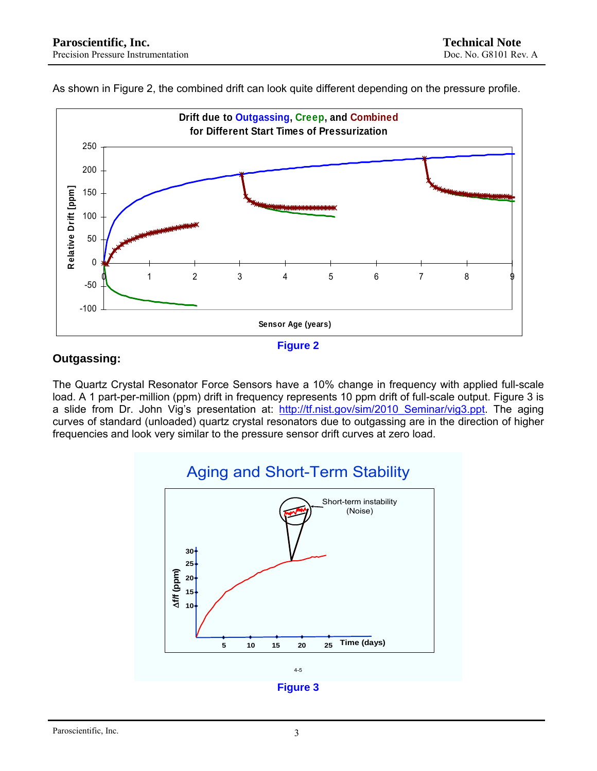As shown in Figure 2, the combined drift can look quite different depending on the pressure profile.





## **Outgassing:**

The Quartz Crystal Resonator Force Sensors have a 10% change in frequency with applied full-scale load. A 1 part-per-million (ppm) drift in frequency represents 10 ppm drift of full-scale output. Figure 3 is a slide from Dr. John Vig's presentation at: http://tf.nist.gov/sim/2010 Seminar/vig3.ppt. The aging curves of standard (unloaded) quartz crystal resonators due to outgassing are in the direction of higher frequencies and look very similar to the pressure sensor drift curves at zero load.

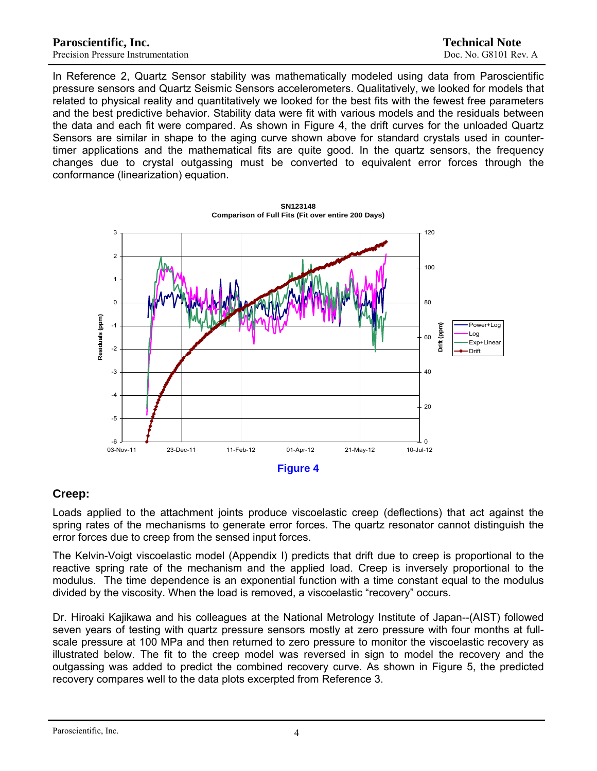In Reference 2, Quartz Sensor stability was mathematically modeled using data from Paroscientific pressure sensors and Quartz Seismic Sensors accelerometers. Qualitatively, we looked for models that related to physical reality and quantitatively we looked for the best fits with the fewest free parameters and the best predictive behavior. Stability data were fit with various models and the residuals between the data and each fit were compared. As shown in Figure 4, the drift curves for the unloaded Quartz Sensors are similar in shape to the aging curve shown above for standard crystals used in countertimer applications and the mathematical fits are quite good. In the quartz sensors, the frequency changes due to crystal outgassing must be converted to equivalent error forces through the conformance (linearization) equation.



#### **SN123148 Comparison of Full Fits (Fit over entire 200 Days)**

## **Creep:**

Loads applied to the attachment joints produce viscoelastic creep (deflections) that act against the spring rates of the mechanisms to generate error forces. The quartz resonator cannot distinguish the error forces due to creep from the sensed input forces.

The Kelvin-Voigt viscoelastic model (Appendix I) predicts that drift due to creep is proportional to the reactive spring rate of the mechanism and the applied load. Creep is inversely proportional to the modulus. The time dependence is an exponential function with a time constant equal to the modulus divided by the viscosity. When the load is removed, a viscoelastic "recovery" occurs.

Dr. Hiroaki Kajikawa and his colleagues at the National Metrology Institute of Japan--(AIST) followed seven years of testing with quartz pressure sensors mostly at zero pressure with four months at fullscale pressure at 100 MPa and then returned to zero pressure to monitor the viscoelastic recovery as illustrated below. The fit to the creep model was reversed in sign to model the recovery and the outgassing was added to predict the combined recovery curve. As shown in Figure 5, the predicted recovery compares well to the data plots excerpted from Reference 3.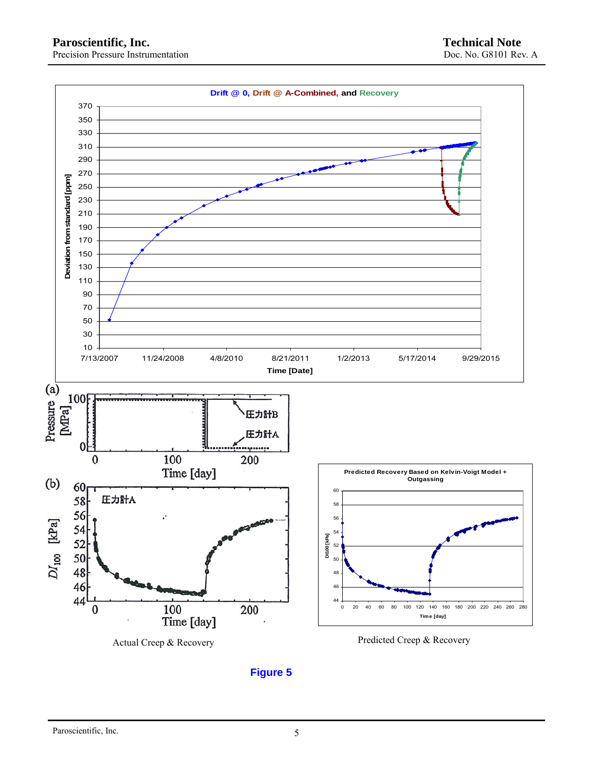

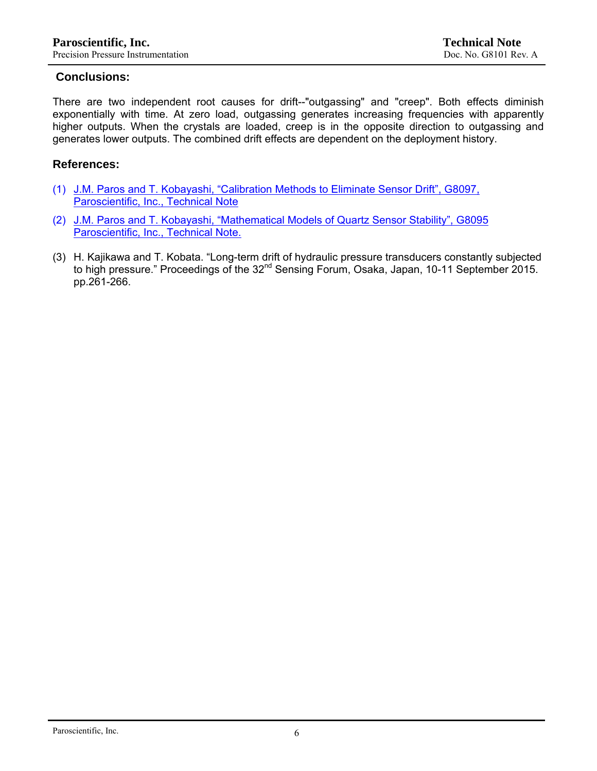## **Conclusions:**

There are two independent root causes for drift--"outgassing" and "creep". Both effects diminish exponentially with time. At zero load, outgassing generates increasing frequencies with apparently higher outputs. When the crystals are loaded, creep is in the opposite direction to outgassing and generates lower outputs. The combined drift effects are dependent on the deployment history.

## **References:**

- (1) [J.M. Paros and T. Kobayashi, "Calibration Methods to Eliminate Sensor Drift", G8097,](http://paroscientific.com/pdf/G8097_Calibration_Methods_to_Eliminate_Sensor_Drift.pdf)  [Paroscientific, Inc., Technical Note](http://paroscientific.com/pdf/G8097_Calibration_Methods_to_Eliminate_Sensor_Drift.pdf)
- (2) [J.M. Paros and T. Kobayashi, "Mathematical Models of Quartz Sensor Stability", G8095](http://paroscientific.com/pdf/G8095_Mathematical_Models.pdf)  [Paroscientific, Inc., Technical Note.](http://paroscientific.com/pdf/G8095_Mathematical_Models.pdf)
- (3) H. Kajikawa and T. Kobata. "Long-term drift of hydraulic pressure transducers constantly subjected to high pressure." Proceedings of the 32<sup>nd</sup> Sensing Forum, Osaka, Japan, 10-11 September 2015. pp.261-266.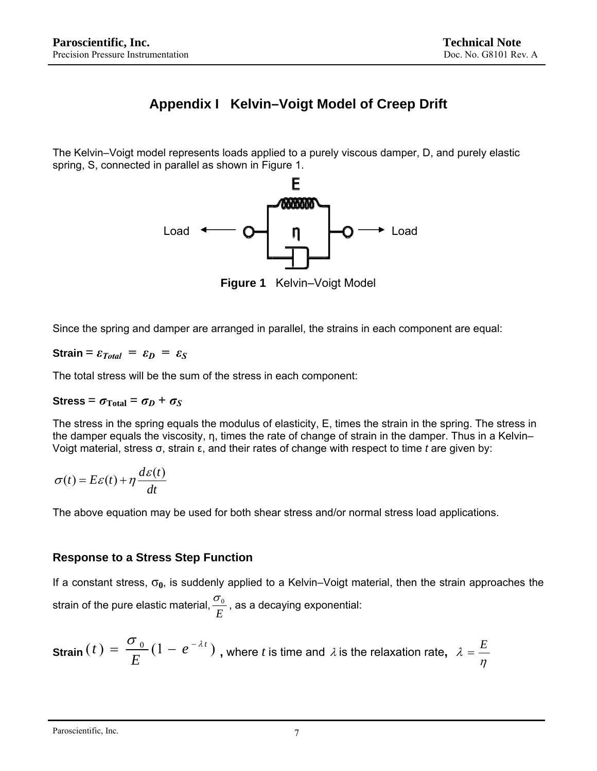## **Appendix I Kelvin–Voigt Model of Creep Drift**

The Kelvin–Voigt model represents loads applied to a purely viscous damper, D, and purely elastic spring, S, connected in parallel as shown in Figure 1.



**Figure 1** Kelvin–Voigt Model

Since the spring and damper are arranged in parallel, the strains in each component are equal:

**Strain** =  $\varepsilon_{Total}$  =  $\varepsilon_{D}$  =  $\varepsilon_{S}$ 

The total stress will be the sum of the stress in each component:

## **Stress** =  $\sigma_{\text{Total}} = \sigma_D + \sigma_S$

The stress in the spring equals the modulus of elasticity, E, times the strain in the spring. The stress in the damper equals the viscosity, η, times the rate of change of strain in the damper. Thus in a Kelvin– Voigt material, stress σ, strain ε, and their rates of change with respect to time *t* are given by:

$$
\sigma(t) = E\varepsilon(t) + \eta \frac{d\varepsilon(t)}{dt}
$$

The above equation may be used for both shear stress and/or normal stress load applications.

## **Response to a Stress Step Function**

If a constant stress, σ**0**, is suddenly applied to a Kelvin–Voigt material, then the strain approaches the strain of the pure elastic material,  $\frac{\sigma_{_{0}}}{E}$  , as a decaying exponential:

**Strain** 
$$
(t) = \frac{\sigma_0}{E} (1 - e^{-\lambda t})
$$
, where *t* is time and  $\lambda$  is the relaxation rate,  $\lambda = \frac{E}{\eta}$